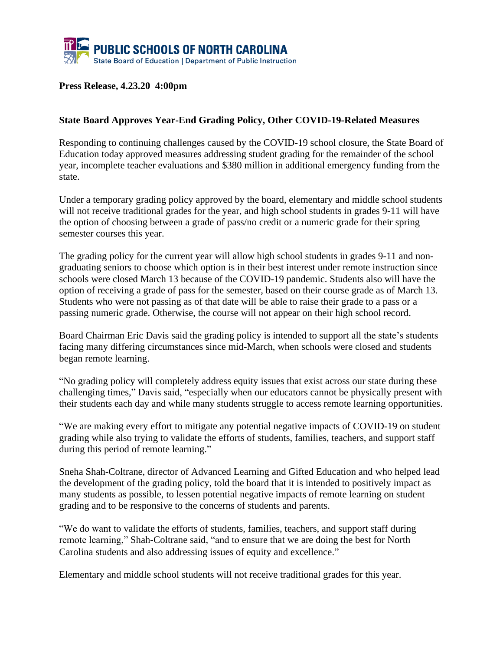

## **Press Release, 4.23.20 4:00pm**

## **State Board Approves Year-End Grading Policy, Other COVID-19-Related Measures**

Responding to continuing challenges caused by the COVID-19 school closure, the State Board of Education today approved measures addressing student grading for the remainder of the school year, incomplete teacher evaluations and \$380 million in additional emergency funding from the state.

Under a temporary grading policy approved by the board, elementary and middle school students will not receive traditional grades for the year, and high school students in grades 9-11 will have the option of choosing between a grade of pass/no credit or a numeric grade for their spring semester courses this year.

The grading policy for the current year will allow high school students in grades 9-11 and nongraduating seniors to choose which option is in their best interest under remote instruction since schools were closed March 13 because of the COVID-19 pandemic. Students also will have the option of receiving a grade of pass for the semester, based on their course grade as of March 13. Students who were not passing as of that date will be able to raise their grade to a pass or a passing numeric grade. Otherwise, the course will not appear on their high school record.

Board Chairman Eric Davis said the grading policy is intended to support all the state's students facing many differing circumstances since mid-March, when schools were closed and students began remote learning.

"No grading policy will completely address equity issues that exist across our state during these challenging times," Davis said, "especially when our educators cannot be physically present with their students each day and while many students struggle to access remote learning opportunities.

"We are making every effort to mitigate any potential negative impacts of COVID-19 on student grading while also trying to validate the efforts of students, families, teachers, and support staff during this period of remote learning."

Sneha Shah-Coltrane, director of Advanced Learning and Gifted Education and who helped lead the development of the grading policy, told the board that it is intended to positively impact as many students as possible, to lessen potential negative impacts of remote learning on student grading and to be responsive to the concerns of students and parents.

"We do want to validate the efforts of students, families, teachers, and support staff during remote learning," Shah-Coltrane said, "and to ensure that we are doing the best for North Carolina students and also addressing issues of equity and excellence."

Elementary and middle school students will not receive traditional grades for this year.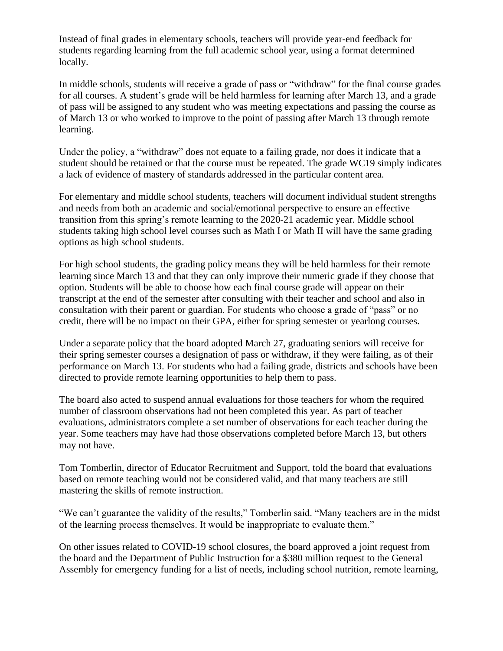Instead of final grades in elementary schools, teachers will provide year-end feedback for students regarding learning from the full academic school year, using a format determined locally.

In middle schools, students will receive a grade of pass or "withdraw" for the final course grades for all courses. A student's grade will be held harmless for learning after March 13, and a grade of pass will be assigned to any student who was meeting expectations and passing the course as of March 13 or who worked to improve to the point of passing after March 13 through remote learning.

Under the policy, a "withdraw" does not equate to a failing grade, nor does it indicate that a student should be retained or that the course must be repeated. The grade WC19 simply indicates a lack of evidence of mastery of standards addressed in the particular content area.

For elementary and middle school students, teachers will document individual student strengths and needs from both an academic and social/emotional perspective to ensure an effective transition from this spring's remote learning to the 2020-21 academic year. Middle school students taking high school level courses such as Math I or Math II will have the same grading options as high school students.

For high school students, the grading policy means they will be held harmless for their remote learning since March 13 and that they can only improve their numeric grade if they choose that option. Students will be able to choose how each final course grade will appear on their transcript at the end of the semester after consulting with their teacher and school and also in consultation with their parent or guardian. For students who choose a grade of "pass" or no credit, there will be no impact on their GPA, either for spring semester or yearlong courses.

Under a separate policy that the board adopted March 27, graduating seniors will receive for their spring semester courses a designation of pass or withdraw, if they were failing, as of their performance on March 13. For students who had a failing grade, districts and schools have been directed to provide remote learning opportunities to help them to pass.

The board also acted to suspend annual evaluations for those teachers for whom the required number of classroom observations had not been completed this year. As part of teacher evaluations, administrators complete a set number of observations for each teacher during the year. Some teachers may have had those observations completed before March 13, but others may not have.

Tom Tomberlin, director of Educator Recruitment and Support, told the board that evaluations based on remote teaching would not be considered valid, and that many teachers are still mastering the skills of remote instruction.

"We can't guarantee the validity of the results," Tomberlin said. "Many teachers are in the midst of the learning process themselves. It would be inappropriate to evaluate them."

On other issues related to COVID-19 school closures, the board approved a joint request from the board and the Department of Public Instruction for a \$380 million request to the General Assembly for emergency funding for a list of needs, including school nutrition, remote learning,